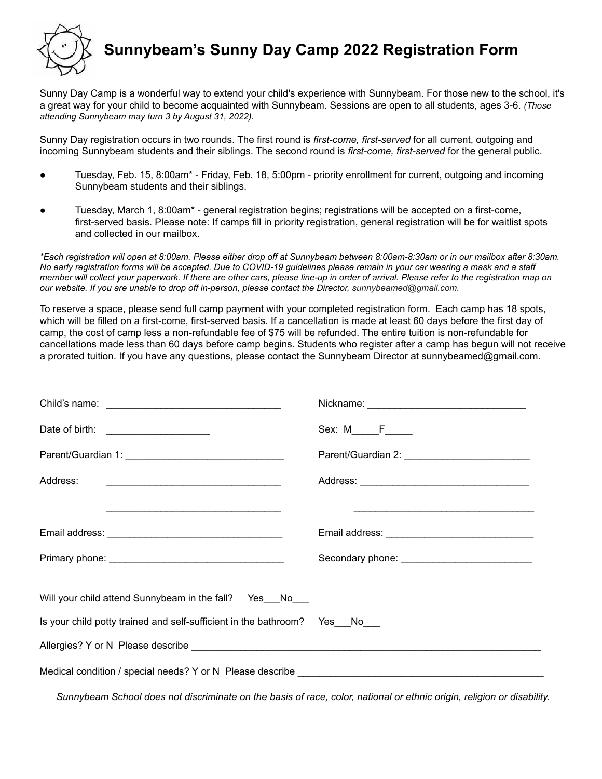

## **Sunnybeam's Sunny Day Camp 2022 Registration Form**

Sunny Day Camp is a wonderful way to extend your child's experience with Sunnybeam. For those new to the school, it's a great way for your child to become acquainted with Sunnybeam. Sessions are open to all students, ages 3-6. *(Those attending Sunnybeam may turn 3 by August 31, 2022).*

Sunny Day registration occurs in two rounds. The first round is *first-come, first-served* for all current, outgoing and incoming Sunnybeam students and their siblings. The second round is *first-come, first-served* for the general public.

- Tuesday, Feb. 15, 8:00am\* Friday, Feb. 18, 5:00pm priority enrollment for current, outgoing and incoming Sunnybeam students and their siblings.
- Tuesday, March 1, 8:00am\* general registration begins; registrations will be accepted on a first-come, first-served basis. Please note: If camps fill in priority registration, general registration will be for waitlist spots and collected in our mailbox.

*\*Each registration will open at 8:00am. Please either drop off at Sunnybeam between 8:00am-8:30am or in our mailbox after 8:30am. No early registration forms will be accepted. Due to COVID-19 guidelines please remain in your car wearing a mask and a staff member will collect your paperwork. If there are other cars, please line-up in order of arrival. Please refer to the registration map on our website. If you are unable to drop off in-person, please contact the Director, [sunnybeamed@gmail.com.](mailto:sunnybeamed@gmail.com)*

To reserve a space, please send full camp payment with your completed registration form. Each camp has 18 spots, which will be filled on a first-come, first-served basis. If a cancellation is made at least 60 days before the first day of camp, the cost of camp less a non-refundable fee of \$75 will be refunded. The entire tuition is non-refundable for cancellations made less than 60 days before camp begins. Students who register after a camp has begun will not receive a prorated tuition. If you have any questions, please contact the Sunnybeam Director at sunnybeamed@gmail.com.

| Date of birth: _______________________                                            | Sex: M_____F_____                                                                                                      |  |  |
|-----------------------------------------------------------------------------------|------------------------------------------------------------------------------------------------------------------------|--|--|
|                                                                                   |                                                                                                                        |  |  |
|                                                                                   |                                                                                                                        |  |  |
|                                                                                   | <u> 1989 - Johann John Stein, market fan it ferskearre fan it ferskearre fan it ferskearre fan it ferskearre fan i</u> |  |  |
|                                                                                   |                                                                                                                        |  |  |
|                                                                                   |                                                                                                                        |  |  |
| Will your child attend Sunnybeam in the fall? Yes_No__                            |                                                                                                                        |  |  |
| Is your child potty trained and self-sufficient in the bathroom? Yes_No_          |                                                                                                                        |  |  |
|                                                                                   |                                                                                                                        |  |  |
| Medical condition / special needs? Y or N Please describe _______________________ |                                                                                                                        |  |  |

Sunnybeam School does not discriminate on the basis of race, color, national or ethnic origin, religion or disability.